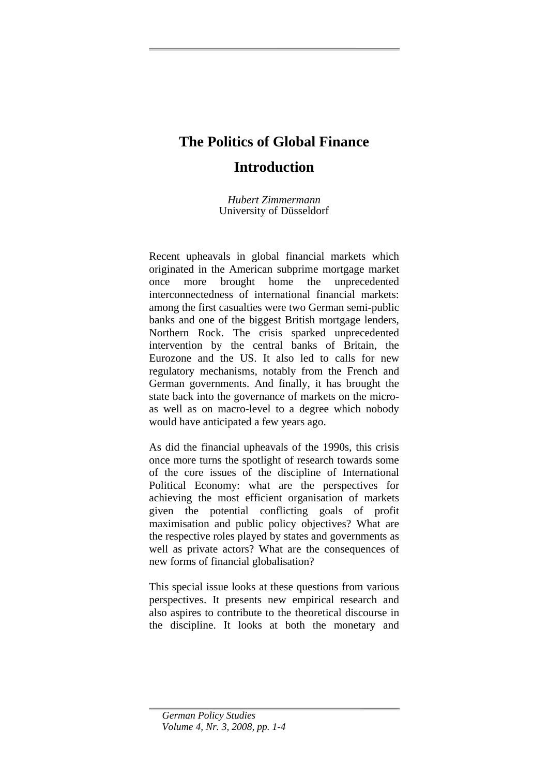## **The Politics of Global Finance**

## **Introduction**

*Hubert Zimmermann*  University of Düsseldorf

Recent upheavals in global financial markets which originated in the American subprime mortgage market once more brought home the unprecedented interconnectedness of international financial markets: among the first casualties were two German semi-public banks and one of the biggest British mortgage lenders, Northern Rock. The crisis sparked unprecedented intervention by the central banks of Britain, the Eurozone and the US. It also led to calls for new regulatory mechanisms, notably from the French and German governments. And finally, it has brought the state back into the governance of markets on the microas well as on macro-level to a degree which nobody would have anticipated a few years ago.

As did the financial upheavals of the 1990s, this crisis once more turns the spotlight of research towards some of the core issues of the discipline of International Political Economy: what are the perspectives for achieving the most efficient organisation of markets given the potential conflicting goals of profit maximisation and public policy objectives? What are the respective roles played by states and governments as well as private actors? What are the consequences of new forms of financial globalisation?

This special issue looks at these questions from various perspectives. It presents new empirical research and also aspires to contribute to the theoretical discourse in the discipline. It looks at both the monetary and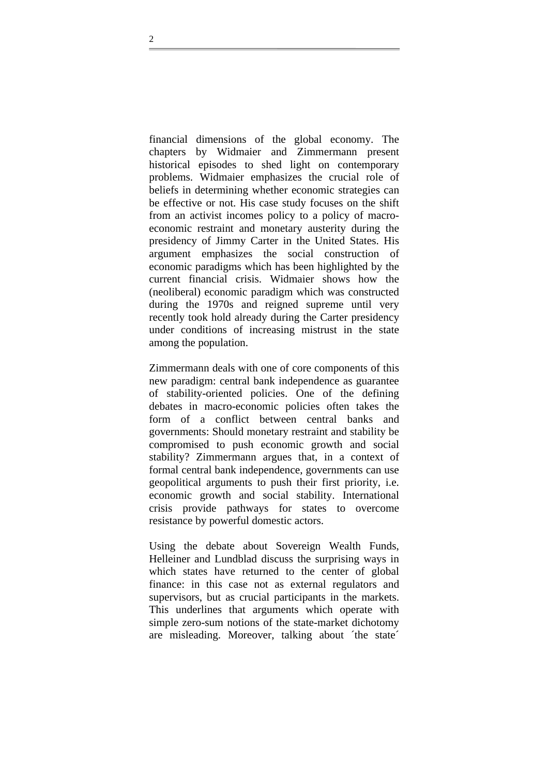financial dimensions of the global economy. The chapters by Widmaier and Zimmermann present historical episodes to shed light on contemporary problems. Widmaier emphasizes the crucial role of beliefs in determining whether economic strategies can be effective or not. His case study focuses on the shift from an activist incomes policy to a policy of macroeconomic restraint and monetary austerity during the presidency of Jimmy Carter in the United States. His argument emphasizes the social construction of economic paradigms which has been highlighted by the current financial crisis. Widmaier shows how the (neoliberal) economic paradigm which was constructed during the 1970s and reigned supreme until very recently took hold already during the Carter presidency under conditions of increasing mistrust in the state among the population.

Zimmermann deals with one of core components of this new paradigm: central bank independence as guarantee of stability-oriented policies. One of the defining debates in macro-economic policies often takes the form of a conflict between central banks and governments: Should monetary restraint and stability be compromised to push economic growth and social stability? Zimmermann argues that, in a context of formal central bank independence, governments can use geopolitical arguments to push their first priority, i.e. economic growth and social stability. International crisis provide pathways for states to overcome resistance by powerful domestic actors.

Using the debate about Sovereign Wealth Funds, Helleiner and Lundblad discuss the surprising ways in which states have returned to the center of global finance: in this case not as external regulators and supervisors, but as crucial participants in the markets. This underlines that arguments which operate with simple zero-sum notions of the state-market dichotomy are misleading. Moreover, talking about ´the state´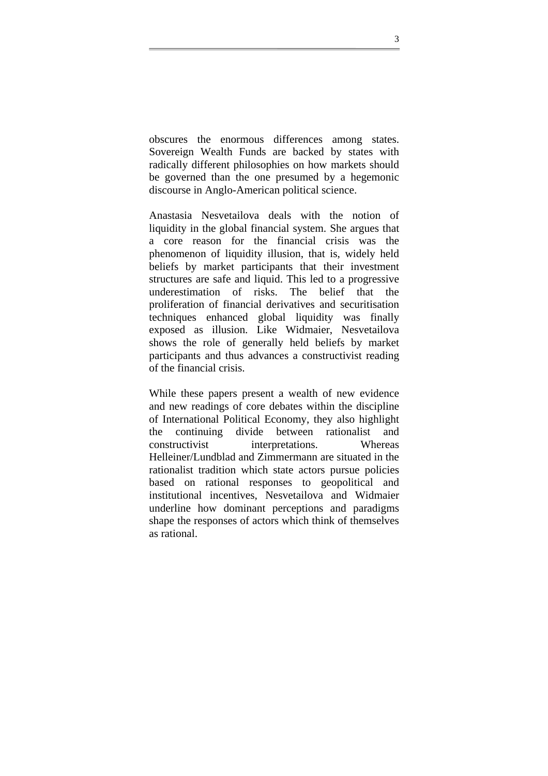obscures the enormous differences among states. Sovereign Wealth Funds are backed by states with radically different philosophies on how markets should be governed than the one presumed by a hegemonic discourse in Anglo-American political science.

Anastasia Nesvetailova deals with the notion of liquidity in the global financial system. She argues that a core reason for the financial crisis was the phenomenon of liquidity illusion, that is, widely held beliefs by market participants that their investment structures are safe and liquid. This led to a progressive underestimation of risks. The belief that the proliferation of financial derivatives and securitisation techniques enhanced global liquidity was finally exposed as illusion. Like Widmaier, Nesvetailova shows the role of generally held beliefs by market participants and thus advances a constructivist reading of the financial crisis.

While these papers present a wealth of new evidence and new readings of core debates within the discipline of International Political Economy, they also highlight the continuing divide between rationalist and constructivist interpretations. Whereas Helleiner/Lundblad and Zimmermann are situated in the rationalist tradition which state actors pursue policies based on rational responses to geopolitical and institutional incentives, Nesvetailova and Widmaier underline how dominant perceptions and paradigms shape the responses of actors which think of themselves as rational.